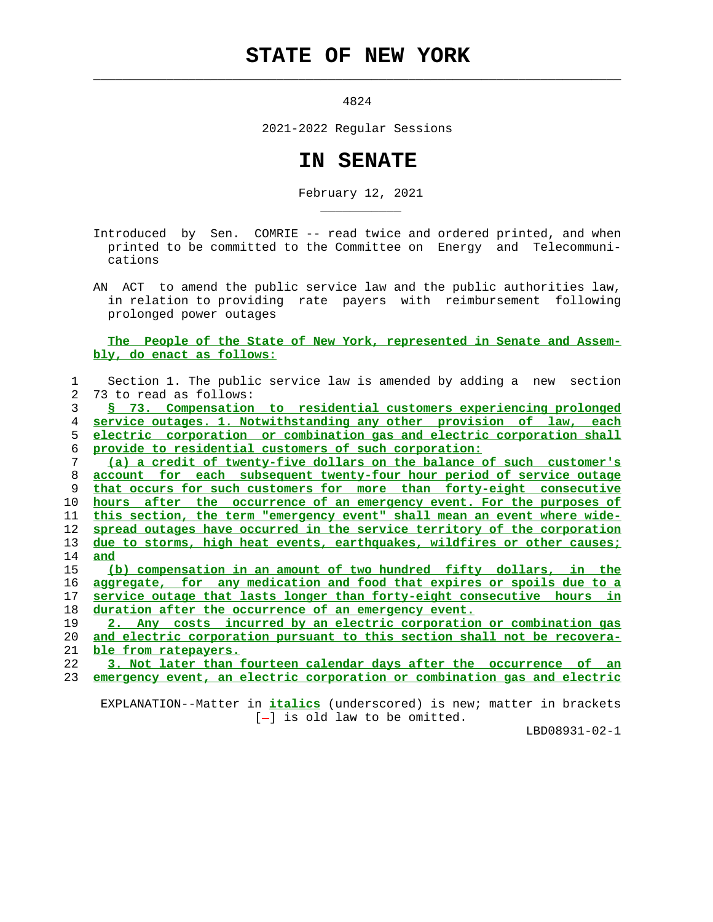## **STATE OF NEW YORK**

 $\mathcal{L}_\text{max} = \frac{1}{2} \sum_{i=1}^{n} \frac{1}{2} \sum_{i=1}^{n} \frac{1}{2} \sum_{i=1}^{n} \frac{1}{2} \sum_{i=1}^{n} \frac{1}{2} \sum_{i=1}^{n} \frac{1}{2} \sum_{i=1}^{n} \frac{1}{2} \sum_{i=1}^{n} \frac{1}{2} \sum_{i=1}^{n} \frac{1}{2} \sum_{i=1}^{n} \frac{1}{2} \sum_{i=1}^{n} \frac{1}{2} \sum_{i=1}^{n} \frac{1}{2} \sum_{i=1}^{n} \frac{1$ 

\_\_\_\_\_\_\_\_\_\_\_

4824

2021-2022 Regular Sessions

## **IN SENATE**

February 12, 2021

 Introduced by Sen. COMRIE -- read twice and ordered printed, and when printed to be committed to the Committee on Energy and Telecommuni cations

 AN ACT to amend the public service law and the public authorities law, in relation to providing rate payers with reimbursement following prolonged power outages

## **The People of the State of New York, represented in Senate and Assem bly, do enact as follows:**

| 1              | Section 1. The public service law is amended by adding a new<br>section   |
|----------------|---------------------------------------------------------------------------|
| $\overline{2}$ | 73 to read as follows:                                                    |
| 3              | § 73. Compensation to residential customers experiencing prolonged        |
| 4              | service outages. 1. Notwithstanding any other provision of law,<br>each   |
| 5              | electric corporation or combination gas and electric corporation shall    |
| 6              | provide to residential customers of such corporation:                     |
| 7              | (a) a credit of twenty-five dollars on the balance of such customer's     |
| 8              | account for each subsequent twenty-four hour period of service outage     |
| 9              | that occurs for such customers for more than forty-eight consecutive      |
| 10             | after the occurrence of an emergency event. For the purposes of<br>hours  |
| 11             | this section, the term "emergency event" shall mean an event where wide-  |
| 12             | spread outages have occurred in the service territory of the corporation  |
| 13             | due to storms, high heat events, earthquakes, wildfires or other causes;  |
| 14             | and                                                                       |
| 15             | (b) compensation in an amount of two hundred fifty dollars, in the        |
| 16             | aggregate, for any medication and food that expires or spoils due to a    |
| 17             | service outage that lasts longer than forty-eight consecutive hours in    |
| 18             | duration after the occurrence of an emergency event.                      |
| 19             | 2. Any costs incurred by an electric corporation or combination gas       |
| 20             | and electric corporation pursuant to this section shall not be recovera-  |
| 21             | ble from ratepayers.                                                      |
| 22             | 3. Not later than fourteen calendar days after the occurrence<br>of<br>an |
| 23             | emergency event, an electric corporation or combination gas and electric  |

 EXPLANATION--Matter in **italics** (underscored) is new; matter in brackets [-] is old law to be omitted.

LBD08931-02-1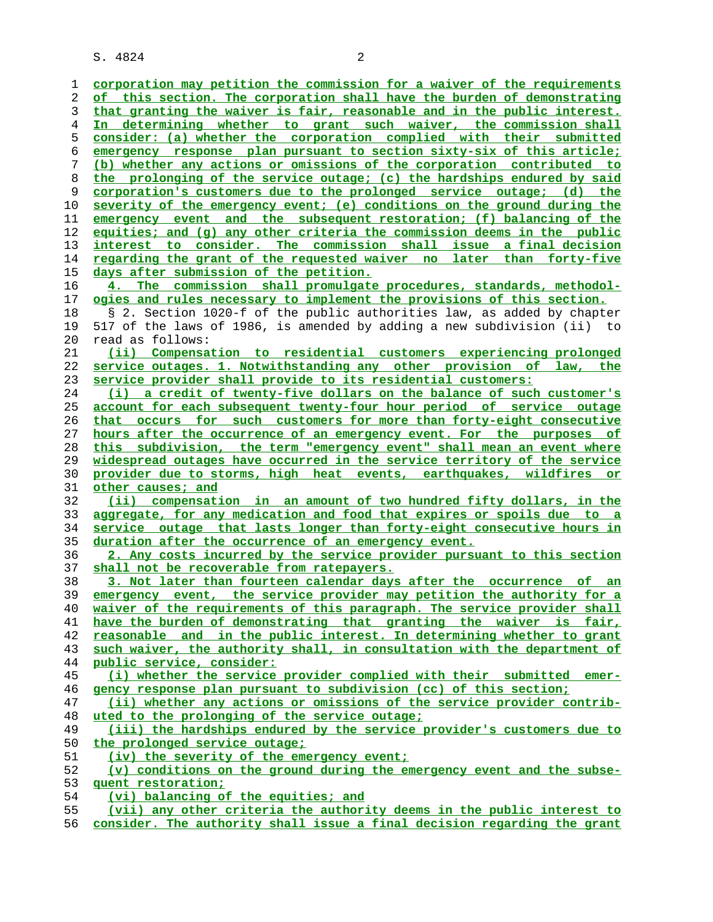S. 4824 2

**corporation may petition the commission for a waiver of the requirements of this section. The corporation shall have the burden of demonstrating that granting the waiver is fair, reasonable and in the public interest. In determining whether to grant such waiver, the commission shall consider: (a) whether the corporation complied with their submitted emergency response plan pursuant to section sixty-six of this article; (b) whether any actions or omissions of the corporation contributed to the prolonging of the service outage; (c) the hardships endured by said corporation's customers due to the prolonged service outage; (d) the severity of the emergency event; (e) conditions on the ground during the emergency event and the subsequent restoration; (f) balancing of the equities; and (g) any other criteria the commission deems in the public interest to consider. The commission shall issue a final decision regarding the grant of the requested waiver no later than forty-five days after submission of the petition. 4. The commission shall promulgate procedures, standards, methodol- ogies and rules necessary to implement the provisions of this section.** 18 § 2. Section 1020-f of the public authorities law, as added by chapter 19 517 of the laws of 1986, is amended by adding a new subdivision (ii) to 20 read as follows: **(ii) Compensation to residential customers experiencing prolonged service outages. 1. Notwithstanding any other provision of law, the service provider shall provide to its residential customers: (i) a credit of twenty-five dollars on the balance of such customer's account for each subsequent twenty-four hour period of service outage that occurs for such customers for more than forty-eight consecutive hours after the occurrence of an emergency event. For the purposes of this subdivision, the term "emergency event" shall mean an event where widespread outages have occurred in the service territory of the service provider due to storms, high heat events, earthquakes, wildfires or other causes; and (ii) compensation in an amount of two hundred fifty dollars, in the aggregate, for any medication and food that expires or spoils due to a service outage that lasts longer than forty-eight consecutive hours in duration after the occurrence of an emergency event. 2. Any costs incurred by the service provider pursuant to this section shall not be recoverable from ratepayers. 3. Not later than fourteen calendar days after the occurrence of an emergency event, the service provider may petition the authority for a waiver of the requirements of this paragraph. The service provider shall have the burden of demonstrating that granting the waiver is fair, reasonable and in the public interest. In determining whether to grant such waiver, the authority shall, in consultation with the department of public service, consider: (i) whether the service provider complied with their submitted emer- gency response plan pursuant to subdivision (cc) of this section; (ii) whether any actions or omissions of the service provider contrib- uted to the prolonging of the service outage; (iii) the hardships endured by the service provider's customers due to the prolonged service outage; (iv) the severity of the emergency event; (v) conditions on the ground during the emergency event and the subse- quent restoration; (vi) balancing of the equities; and (vii) any other criteria the authority deems in the public interest to consider. The authority shall issue a final decision regarding the grant**